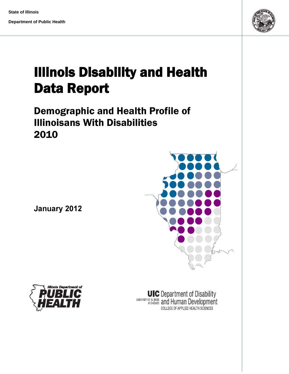**State of Illinois** 

**Department of Public Health** 



# Illinois Disability and Health Data Report

## Demographic and Health Profile of Illinoisans With Disabilities 2010

January 2012





UIC Department of Disability<br>ATCHICAGO **ANDIS AND HUMBER DEVELOPMENT** COLLEGE OF APPLIED HEALTH SCIENCES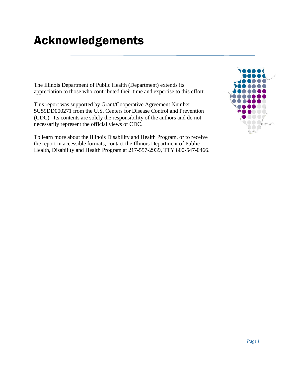## <span id="page-1-0"></span>Acknowledgements

The Illinois Department of Public Health (Department) extends its appreciation to those who contributed their time and expertise to this effort.

This report was supported by Grant/Cooperative Agreement Number 5U59DD000271 from the U.S. Centers for Disease Control and Prevention (CDC). Its contents are solely the responsibility of the authors and do not necessarily represent the official views of CDC.

To learn more about the Illinois Disability and Health Program, or to receive the report in accessible formats, contact the Illinois Department of Public Health, Disability and Health Program at 217-557-2939, TTY 800-547-0466.

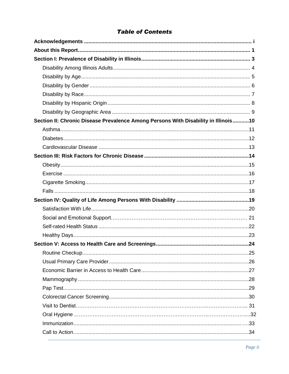#### **Table of Contents**

| Section II: Chronic Disease Prevalence Among Persons With Disability in Illinois10 |  |
|------------------------------------------------------------------------------------|--|
|                                                                                    |  |
|                                                                                    |  |
|                                                                                    |  |
|                                                                                    |  |
|                                                                                    |  |
|                                                                                    |  |
|                                                                                    |  |
|                                                                                    |  |
|                                                                                    |  |
|                                                                                    |  |
|                                                                                    |  |
|                                                                                    |  |
|                                                                                    |  |
|                                                                                    |  |
|                                                                                    |  |
|                                                                                    |  |
|                                                                                    |  |
|                                                                                    |  |
|                                                                                    |  |
|                                                                                    |  |
|                                                                                    |  |
|                                                                                    |  |
|                                                                                    |  |
|                                                                                    |  |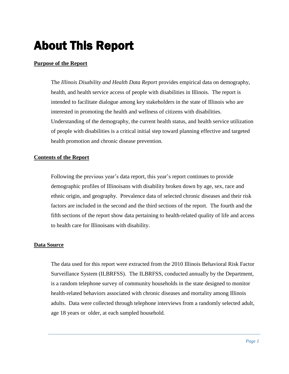## About This Report

#### **Purpose of the Report**

The *Illinois Disability and Health Data Report* provides empirical data on demography, health, and health service access of people with disabilities in Illinois. The report is intended to facilitate dialogue among key stakeholders in the state of Illinois who are interested in promoting the health and wellness of citizens with disabilities. Understanding of the demography, the current health status, and health service utilization of people with disabilities is a critical initial step toward planning effective and targeted health promotion and chronic disease prevention.

#### **Contents of the Report**

Following the previous year's data report, this year's report continues to provide demographic profiles of Illinoisans with disability broken down by age, sex, race and ethnic origin, and geography. Prevalence data of selected chronic diseases and their risk factors are included in the second and the third sections of the report. The fourth and the fifth sections of the report show data pertaining to health-related quality of life and access to health care for Illinoisans with disability.

#### **Data Source**

The data used for this report were extracted from the 2010 Illinois Behavioral Risk Factor Surveillance System (ILBRFSS). The ILBRFSS, conducted annually by the Department, is a random telephone survey of community households in the state designed to monitor health-related behaviors associated with chronic diseases and mortality among Illinois adults. Data were collected through telephone interviews from a randomly selected adult*,* age 18 years or older, at each sampled household.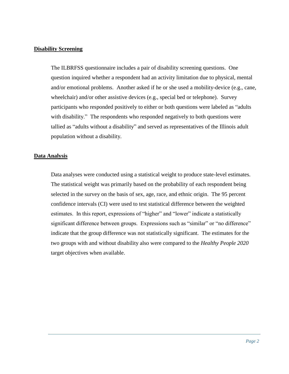#### **Disability Screening**

The ILBRFSS questionnaire includes a pair of disability screening questions. One question inquired whether a respondent had an activity limitation due to physical, mental and/or emotional problems. Another asked if he or she used a mobility-device (e.g., cane, wheelchair) and/or other assistive devices (e.g., special bed or telephone). Survey participants who responded positively to either or both questions were labeled as "adults with disability." The respondents who responded negatively to both questions were tallied as "adults without a disability" and served as representatives of the Illinois adult population without a disability.

#### **Data Analysis**

Data analyses were conducted using a statistical weight to produce state-level estimates. The statistical weight was primarily based on the probability of each respondent being selected in the survey on the basis of sex, age, race, and ethnic origin. The 95 percent confidence intervals (CI) were used to test statistical difference between the weighted estimates. In this report, expressions of "higher" and "lower" indicate a statistically significant difference between groups. Expressions such as "similar" or "no difference" indicate that the group difference was not statistically significant. The estimates for the two groups with and without disability also were compared to the *Healthy People 2020* target objectives when available.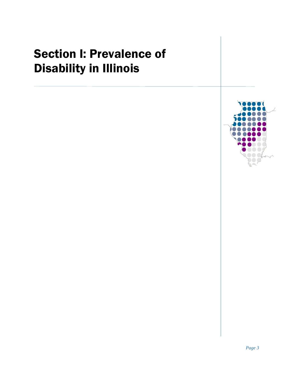# <span id="page-5-0"></span>Section I: Prevalence of Disability in Illinois

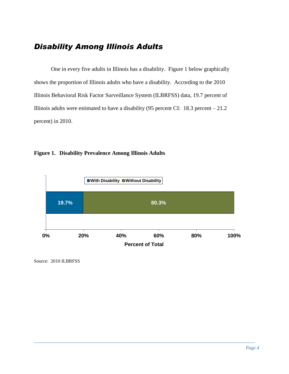## <span id="page-6-0"></span>*Disability Among Illinois Adults*

One in every five adults in Illinois has a disability. Figure 1 below graphically shows the proportion of Illinois adults who have a disability. According to the 2010 Illinois Behavioral Risk Factor Surveillance System (ILBRFSS) data, 19.7 percent of Illinois adults were estimated to have a disability (95 percent CI:  $18.3$  percent  $-21.2$ percent) in 2010.

#### **Figure 1. Disability Prevalence Among Illinois Adults**

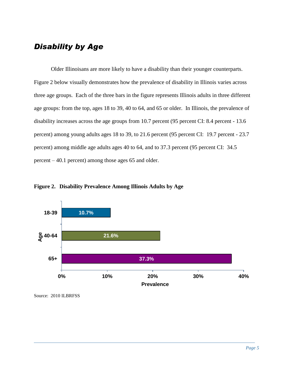#### <span id="page-7-0"></span>*Disability by Age*

Older Illinoisans are more likely to have a disability than their younger counterparts. Figure 2 below visually demonstrates how the prevalence of disability in Illinois varies across three age groups. Each of the three bars in the figure represents Illinois adults in three different age groups: from the top, ages 18 to 39, 40 to 64, and 65 or older. In Illinois, the prevalence of disability increases across the age groups from 10.7 percent (95 percent CI: 8.4 percent - 13.6 percent) among young adults ages 18 to 39, to 21.6 percent (95 percent CI: 19.7 percent - 23.7 percent) among middle age adults ages 40 to 64, and to 37.3 percent (95 percent CI: 34.5 percent – 40.1 percent) among those ages 65 and older.

**Figure 2. Disability Prevalence Among Illinois Adults by Age** 



Source: 2010 ILBRFSS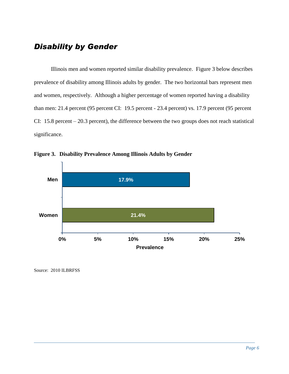### <span id="page-8-0"></span>*Disability by Gender*

Illinois men and women reported similar disability prevalence. Figure 3 below describes prevalence of disability among Illinois adults by gender. The two horizontal bars represent men and women, respectively. Although a higher percentage of women reported having a disability than men: 21.4 percent (95 percent CI: 19.5 percent - 23.4 percent) vs. 17.9 percent (95 percent CI: 15.8 percent – 20.3 percent), the difference between the two groups does not reach statistical significance.



**Figure 3. Disability Prevalence Among Illinois Adults by Gender**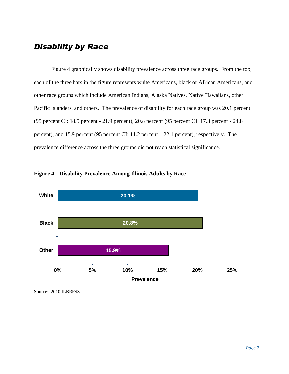#### <span id="page-9-0"></span>*Disability by Race*

Figure 4 graphically shows disability prevalence across three race groups. From the top, each of the three bars in the figure represents white Americans, black or African Americans, and other race groups which include American Indians, Alaska Natives, Native Hawaiians, other Pacific Islanders, and others. The prevalence of disability for each race group was 20.1 percent (95 percent CI: 18.5 percent - 21.9 percent), 20.8 percent (95 percent CI: 17.3 percent - 24.8 percent), and 15.9 percent (95 percent CI: 11.2 percent – 22.1 percent), respectively. The prevalence difference across the three groups did not reach statistical significance.



**Figure 4. Disability Prevalence Among Illinois Adults by Race**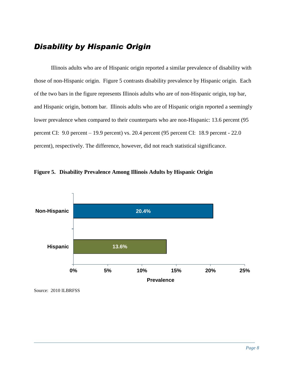### <span id="page-10-0"></span>*Disability by Hispanic Origin*

Illinois adults who are of Hispanic origin reported a similar prevalence of disability with those of non-Hispanic origin. Figure 5 contrasts disability prevalence by Hispanic origin. Each of the two bars in the figure represents Illinois adults who are of non-Hispanic origin, top bar, and Hispanic origin, bottom bar. Illinois adults who are of Hispanic origin reported a seemingly lower prevalence when compared to their counterparts who are non-Hispanic: 13.6 percent (95 percent CI: 9.0 percent – 19.9 percent) vs. 20.4 percent (95 percent CI: 18.9 percent - 22.0 percent), respectively. The difference, however, did not reach statistical significance.



**Figure 5. Disability Prevalence Among Illinois Adults by Hispanic Origin**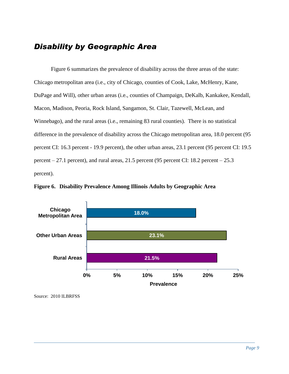### <span id="page-11-0"></span>*Disability by Geographic Area*

Figure 6 summarizes the prevalence of disability across the three areas of the state: Chicago metropolitan area (i.e., city of Chicago, counties of Cook, Lake, McHenry, Kane, DuPage and Will), other urban areas (i.e., counties of Champaign, DeKalb, Kankakee, Kendall, Macon, Madison, Peoria, Rock Island, Sangamon, St. Clair, Tazewell, McLean, and Winnebago), and the rural areas (i.e., remaining 83 rural counties). There is no statistical difference in the prevalence of disability across the Chicago metropolitan area, 18.0 percent (95 percent CI: 16.3 percent - 19.9 percent), the other urban areas, 23.1 percent (95 percent CI: 19.5 percent – 27.1 percent), and rural areas, 21.5 percent (95 percent CI: 18.2 percent –  $25.3$ percent).

**Figure 6. Disability Prevalence Among Illinois Adults by Geographic Area** 



Source: 2010 ILBRFSS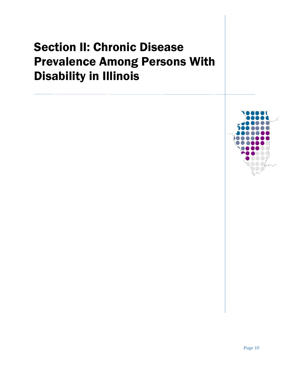# <span id="page-12-0"></span>Section II: Chronic Disease Prevalence Among Persons With Disability in Illinois

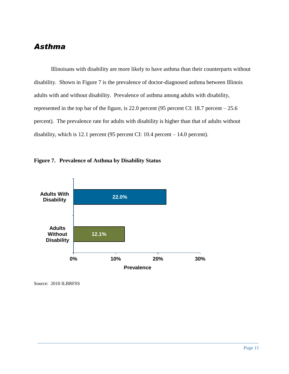#### <span id="page-13-0"></span>*Asthma*

Illinoisans with disability are more likely to have asthma than their counterparts without disability. Shown in Figure 7 is the prevalence of doctor-diagnosed asthma between Illinois adults with and without disability. Prevalence of asthma among adults with disability, represented in the top bar of the figure, is 22.0 percent (95 percent CI: 18.7 percent – 25.6 percent). The prevalence rate for adults with disability is higher than that of adults without disability, which is 12.1 percent (95 percent CI: 10.4 percent – 14.0 percent).



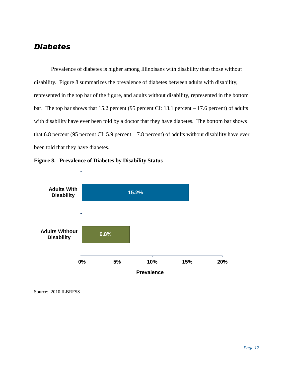#### <span id="page-14-0"></span>*Diabetes*

Prevalence of diabetes is higher among Illinoisans with disability than those without disability. Figure 8 summarizes the prevalence of diabetes between adults with disability, represented in the top bar of the figure, and adults without disability, represented in the bottom bar. The top bar shows that 15.2 percent (95 percent CI: 13.1 percent – 17.6 percent) of adults with disability have ever been told by a doctor that they have diabetes. The bottom bar shows that 6.8 percent (95 percent CI: 5.9 percent – 7.8 percent) of adults without disability have ever been told that they have diabetes.



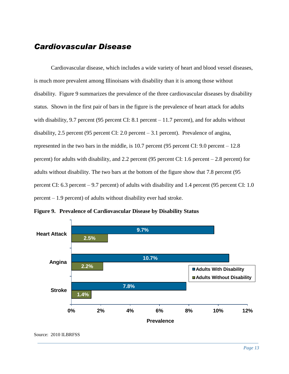#### <span id="page-15-0"></span>*Cardiovascular Disease*

Cardiovascular disease, which includes a wide variety of heart and blood vessel diseases, is much more prevalent among Illinoisans with disability than it is among those without disability. Figure 9 summarizes the prevalence of the three cardiovascular diseases by disability status. Shown in the first pair of bars in the figure is the prevalence of heart attack for adults with disability, 9.7 percent (95 percent CI: 8.1 percent – 11.7 percent), and for adults without disability, 2.5 percent (95 percent CI: 2.0 percent – 3.1 percent). Prevalence of angina, represented in the two bars in the middle, is 10.7 percent (95 percent CI: 9.0 percent – 12.8 percent) for adults with disability, and 2.2 percent (95 percent CI: 1.6 percent – 2.8 percent) for adults without disability. The two bars at the bottom of the figure show that 7.8 percent (95 percent CI: 6.3 percent – 9.7 percent) of adults with disability and 1.4 percent (95 percent CI: 1.0 percent – 1.9 percent) of adults without disability ever had stroke.



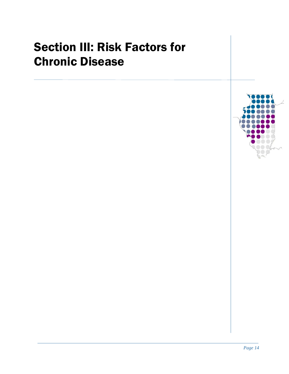## <span id="page-16-0"></span>Section III: Risk Factors for Chronic Disease

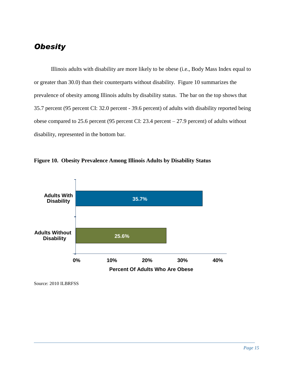### <span id="page-17-0"></span>*Obesity*

Illinois adults with disability are more likely to be obese (i.e., Body Mass Index equal to or greater than 30.0) than their counterparts without disability. Figure 10 summarizes the prevalence of obesity among Illinois adults by disability status. The bar on the top shows that 35.7 percent (95 percent CI: 32.0 percent - 39.6 percent) of adults with disability reported being obese compared to 25.6 percent (95 percent CI: 23.4 percent – 27.9 percent) of adults without disability, represented in the bottom bar.



**Figure 10. Obesity Prevalence Among Illinois Adults by Disability Status**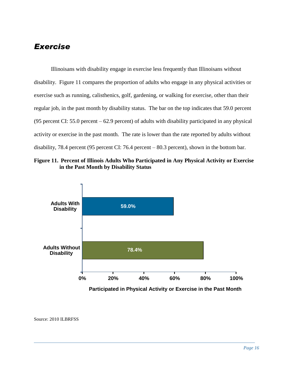### <span id="page-18-0"></span>*Exercise*

Illinoisans with disability engage in exercise less frequently than Illinoisans without disability. Figure 11 compares the proportion of adults who engage in any physical activities or exercise such as running, calisthenics, golf, gardening, or walking for exercise, other than their regular job, in the past month by disability status. The bar on the top indicates that 59.0 percent (95 percent CI: 55.0 percent – 62.9 percent) of adults with disability participated in any physical activity or exercise in the past month. The rate is lower than the rate reported by adults without disability, 78.4 percent (95 percent CI: 76.4 percent – 80.3 percent), shown in the bottom bar.





**Participated in Physical Activity or Exercise in the Past Month**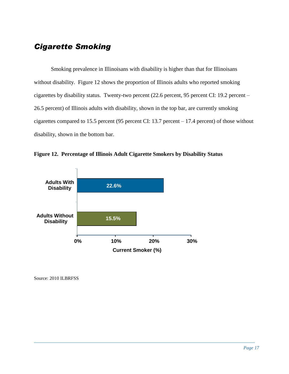#### <span id="page-19-0"></span>*Cigarette Smoking*

Smoking prevalence in Illinoisans with disability is higher than that for Illinoisans without disability. Figure 12 shows the proportion of Illinois adults who reported smoking cigarettes by disability status. Twenty-two percent (22.6 percent, 95 percent CI: 19.2 percent – 26.5 percent) of Illinois adults with disability, shown in the top bar, are currently smoking cigarettes compared to 15.5 percent (95 percent CI: 13.7 percent – 17.4 percent) of those without disability, shown in the bottom bar.



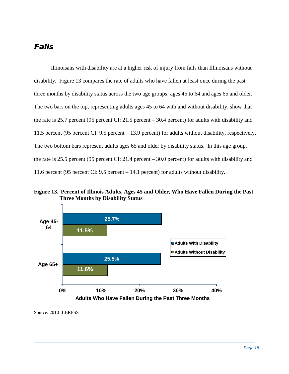#### <span id="page-20-0"></span>*Falls*

Illinoisans with disability are at a higher risk of injury from falls than Illinoisans without disability. Figure 13 compares the rate of adults who have fallen at least once during the past three months by disability status across the two age groups: ages 45 to 64 and ages 65 and older. The two bars on the top, representing adults ages 45 to 64 with and without disability, show that the rate is 25.7 percent (95 percent CI: 21.5 percent – 30.4 percent) for adults with disability and 11.5 percent (95 percent CI: 9.5 percent – 13.9 percent) for adults without disability, respectively. The two bottom bars represent adults ages 65 and older by disability status. In this age group, the rate is 25.5 percent (95 percent CI: 21.4 percent – 30.0 percent) for adults with disability and 11.6 percent (95 percent CI: 9.5 percent – 14.1 percent) for adults without disability.

**Figure 13. Percent of Illinois Adults, Ages 45 and Older, Who Have Fallen During the Past Three Months by Disability Status** 

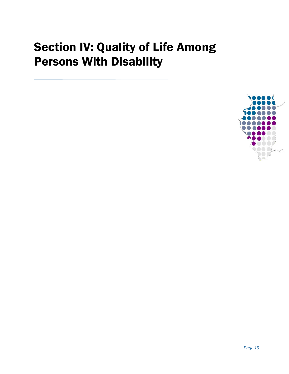## <span id="page-21-0"></span>Section IV: Quality of Life Among Persons With Disability

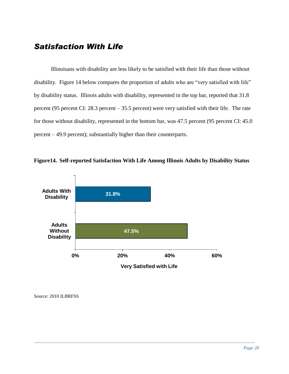#### <span id="page-22-0"></span>*Satisfaction With Life*

Illinoisans with disability are less likely to be satisfied with their life than those without disability. Figure 14 below compares the proportion of adults who are "very satisfied with life" by disability status. Illinois adults with disability, represented in the top bar, reported that 31.8 percent (95 percent CI: 28.3 percent – 35.5 percent) were very satisfied with their life. The rate for those without disability, represented in the bottom bar, was 47.5 percent (95 percent CI: 45.0 percent – 49.9 percent); substantially higher than their counterparts.



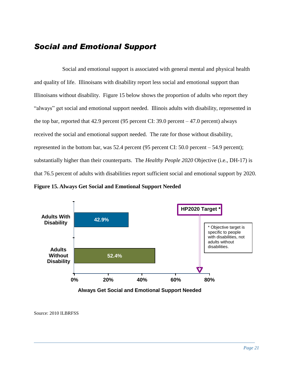#### *Social and Emotional Support*

Social and emotional support is associated with general mental and physical health and quality of life. Illinoisans with disability report less social and emotional support than Illinoisans without disability. Figure 15 below shows the proportion of adults who report they "always" get social and emotional support needed. Illinois adults with disability, represented in the top bar, reported that 42.9 percent (95 percent CI: 39.0 percent  $-47.0$  percent) always received the social and emotional support needed. The rate for those without disability, represented in the bottom bar, was 52.4 percent (95 percent CI: 50.0 percent – 54.9 percent); substantially higher than their counterparts. The *Healthy People 2020* Objective (i.e., DH-17) is that 76.5 percent of adults with disabilities report sufficient social and emotional support by 2020.

**Figure 15. Always Get Social and Emotional Support Needed** 



**Always Get Social and Emotional Support Needed**

Source: 2010 ILBRFSS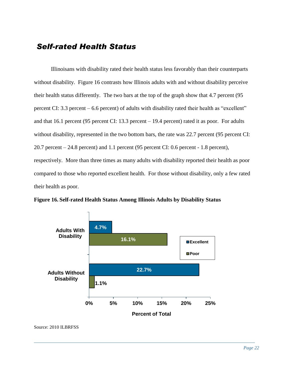#### <span id="page-24-0"></span> *Self-rated Health Status*

Illinoisans with disability rated their health status less favorably than their counterparts without disability. Figure 16 contrasts how Illinois adults with and without disability perceive their health status differently. The two bars at the top of the graph show that 4.7 percent (95 percent CI: 3.3 percent – 6.6 percent) of adults with disability rated their health as "excellent" and that 16.1 percent (95 percent CI: 13.3 percent – 19.4 percent) rated it as poor. For adults without disability, represented in the two bottom bars, the rate was 22.7 percent (95 percent CI: 20.7 percent – 24.8 percent) and 1.1 percent (95 percent CI: 0.6 percent - 1.8 percent), respectively. More than three times as many adults with disability reported their health as poor compared to those who reported excellent health. For those without disability, only a few rated their health as poor.



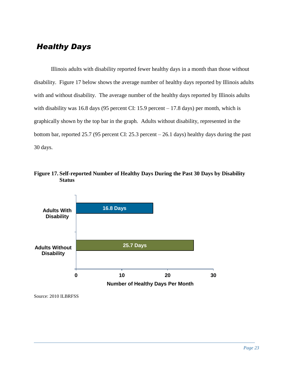## <span id="page-25-0"></span> *Healthy Days*

Illinois adults with disability reported fewer healthy days in a month than those without disability. Figure 17 below shows the average number of healthy days reported by Illinois adults with and without disability. The average number of the healthy days reported by Illinois adults with disability was 16.8 days (95 percent CI: 15.9 percent – 17.8 days) per month, which is graphically shown by the top bar in the graph. Adults without disability, represented in the bottom bar, reported 25.7 (95 percent CI: 25.3 percent – 26.1 days) healthy days during the past 30 days.

**Figure 17. Self-reported Number of Healthy Days During the Past 30 Days by Disability Status** 

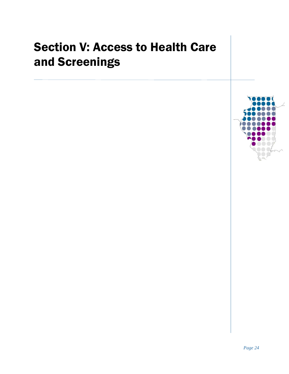## <span id="page-26-0"></span>Section V: Access to Health Care and Screenings

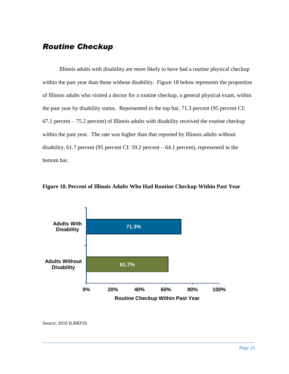#### <span id="page-27-0"></span>*Routine Checkup*

Illinois adults with disability are more likely to have had a routine physical checkup within the past year than those without disability. Figure 18 below represents the proportion of Illinois adults who visited a doctor for a routine checkup, a general physical exam, within the past year by disability status. Represented in the top bar, 71.3 percent (95 percent CI: 67.1 percent – 75.2 percent) of Illinois adults with disability received the routine checkup within the past year. The rate was higher than that reported by Illinois adults without disability, 61.7 percent (95 percent CI: 59.2 percent – 64.1 percent), represented in the bottom bar.





Source: 2010 ILBRFSS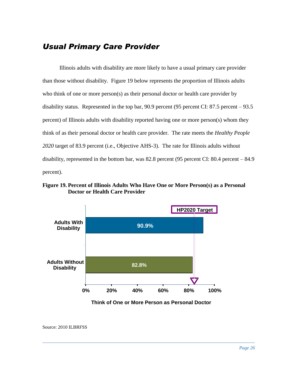#### <span id="page-28-0"></span>*Usual Primary Care Provider*

Illinois adults with disability are more likely to have a usual primary care provider than those without disability. Figure 19 below represents the proportion of Illinois adults who think of one or more person(s) as their personal doctor or health care provider by disability status. Represented in the top bar, 90.9 percent (95 percent CI: 87.5 percent – 93.5 percent) of Illinois adults with disability reported having one or more person(s) whom they think of as their personal doctor or health care provider. The rate meets the *Healthy People 2020* target of 83.9 percent (i.e., Objective AHS-3). The rate for Illinois adults without disability, represented in the bottom bar, was 82.8 percent (95 percent CI: 80.4 percent – 84.9 percent).

**Figure 19. Percent of Illinois Adults Who Have One or More Person(s) as a Personal Doctor or Health Care Provider** 



**Think of One or More Person as Personal Doctor**

Source: 2010 ILBRFSS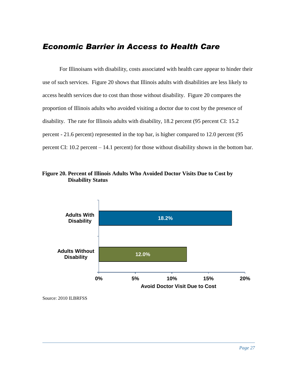#### <span id="page-29-0"></span>*Economic Barrier in Access to Health Care*

For Illinoisans with disability, costs associated with health care appear to hinder their use of such services. Figure 20 shows that Illinois adults with disabilities are less likely to access health services due to cost than those without disability. Figure 20 compares the proportion of Illinois adults who avoided visiting a doctor due to cost by the presence of disability. The rate for Illinois adults with disability, 18.2 percent (95 percent CI: 15.2 percent - 21.6 percent) represented in the top bar, is higher compared to 12.0 percent (95 percent CI: 10.2 percent – 14.1 percent) for those without disability shown in the bottom bar.

#### **Figure 20. Percent of Illinois Adults Who Avoided Doctor Visits Due to Cost by Disability Status**

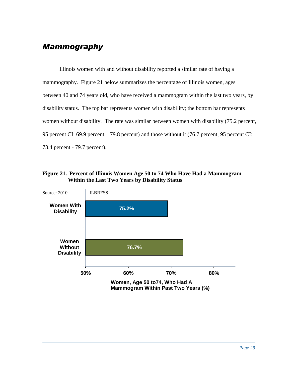## <span id="page-30-0"></span>*Mammography*

Illinois women with and without disability reported a similar rate of having a mammography. Figure 21 below summarizes the percentage of Illinois women, ages between 40 and 74 years old, who have received a mammogram within the last two years, by disability status. The top bar represents women with disability; the bottom bar represents women without disability. The rate was similar between women with disability (75.2 percent, 95 percent CI: 69.9 percent – 79.8 percent) and those without it (76.7 percent, 95 percent CI: 73.4 percent - 79.7 percent).



<span id="page-30-1"></span>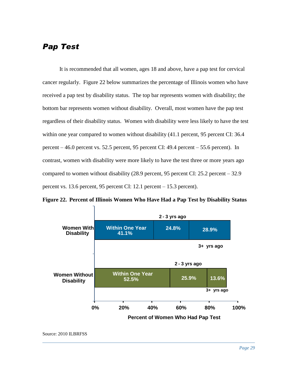### *Pap Test*

It is recommended that all women, ages 18 and above, have a pap test for cervical cancer regularly. Figure 22 below summarizes the percentage of Illinois women who have received a pap test by disability status. The top bar represents women with disability; the bottom bar represents women without disability. Overall, most women have the pap test regardless of their disability status. Women with disability were less likely to have the test within one year compared to women without disability  $(41.1)$  percent, 95 percent CI: 36.4 percent – 46.0 percent vs. 52.5 percent, 95 percent CI: 49.4 percent – 55.6 percent). In contrast, women with disability were more likely to have the test three or more years ago compared to women without disability (28.9 percent, 95 percent CI: 25.2 percent – 32.9 percent vs. 13.6 percent, 95 percent CI: 12.1 percent – 15.3 percent).



**Figure 22. Percent of Illinois Women Who Have Had a Pap Test by Disability Status** 

Source: 2010 ILBRFSS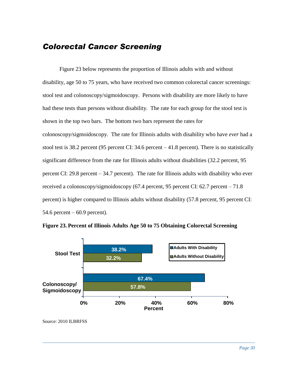#### <span id="page-32-0"></span>*Colorectal Cancer Screening*

Figure 23 below represents the proportion of Illinois adults with and without disability, age 50 to 75 years, who have received two common colorectal cancer screenings: stool test and colonoscopy/sigmoidoscopy. Persons with disability are more likely to have had these tests than persons without disability. The rate for each group for the stool test is shown in the top two bars. The bottom two bars represent the rates for colonoscopy/sigmoidoscopy. The rate for Illinois adults with disability who have *ever* had a stool test is 38.2 percent (95 percent CI: 34.6 percent – 41.8 percent). There is no statistically significant difference from the rate for Illinois adults without disabilities (32.2 percent, 95 percent CI: 29.8 percent – 34.7 percent). The rate for Illinois adults with disability who ever received a colonoscopy/sigmoidoscopy (67.4 percent, 95 percent CI: 62.7 percent – 71.8 percent) is higher compared to Illinois adults without disability (57.8 percent, 95 percent CI: 54.6 percent  $-60.9$  percent).



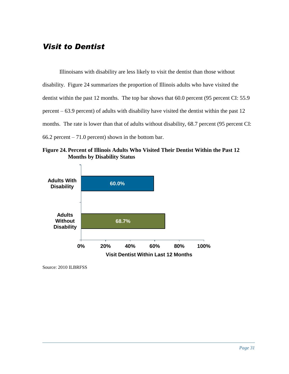#### *Visit to Dentist*

Illinoisans with disability are less likely to visit the dentist than those without disability. Figure 24 summarizes the proportion of Illinois adults who have visited the dentist within the past 12 months. The top bar shows that 60.0 percent (95 percent CI: 55.9) percent – 63.9 percent) of adults with disability have visited the dentist within the past 12 months. The rate is lower than that of adults without disability, 68.7 percent (95 percent CI:  $66.2$  percent  $-71.0$  percent) shown in the bottom bar.

**Figure 24. Percent of Illinois Adults Who Visited Their Dentist Within the Past 12 Months by Disability Status** 

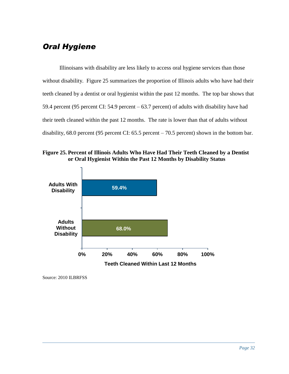## *Oral Hygiene*

Illinoisans with disability are less likely to access oral hygiene services than those without disability. Figure 25 summarizes the proportion of Illinois adults who have had their teeth cleaned by a dentist or oral hygienist within the past 12 months. The top bar shows that 59.4 percent (95 percent CI: 54.9 percent – 63.7 percent) of adults with disability have had their teeth cleaned within the past 12 months. The rate is lower than that of adults without disability, 68.0 percent (95 percent CI: 65.5 percent – 70.5 percent) shown in the bottom bar.

**Figure 25. Percent of Illinois Adults Who Have Had Their Teeth Cleaned by a Dentist or Oral Hygienist Within the Past 12 Months by Disability Status** 

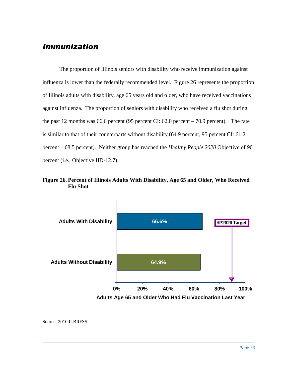#### <span id="page-35-0"></span>*Immunization*

The proportion of Illinois seniors with disability who receive immunization against influenza is lower than the federally recommended level. Figure 26 represents the proportion of Illinois adults with disability, age 65 years old and older, who have received vaccinations against influenza. The proportion of seniors with disability who received a flu shot during the past 12 months was 66.6 percent (95 percent CI: 62.0 percent – 70.9 percent). The rate is similar to that of their counterparts without disability (64.9 percent, 95 percent CI: 61.2 percent – 68.5 percent). Neither group has reached the *Healthy People 2020* Objective of 90 percent (i.e., Objective IID-12.7).

#### **Figure 26. Percent of Illinois Adults With Disability, Age 65 and Older, Who Received Flu Shot**

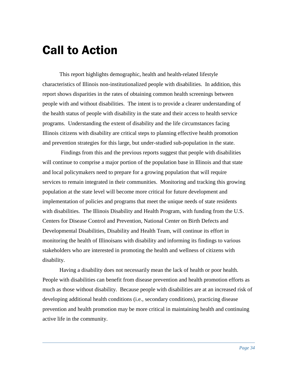## <span id="page-36-0"></span>Call to Action

This report highlights demographic, health and health-related lifestyle characteristics of Illinois non-institutionalized people with disabilities. In addition, this report shows disparities in the rates of obtaining common health screenings between people with and without disabilities. The intent is to provide a clearer understanding of the health status of people with disability in the state and their access to health service programs. Understanding the extent of disability and the life circumstances facing Illinois citizens with disability are critical steps to planning effective health promotion and prevention strategies for this large, but under-studied sub-population in the state.

 Findings from this and the previous reports suggest that people with disabilities will continue to comprise a major portion of the population base in Illinois and that state and local policymakers need to prepare for a growing population that will require services to remain integrated in their communities. Monitoring and tracking this growing population at the state level will become more critical for future development and implementation of policies and programs that meet the unique needs of state residents with disabilities. The Illinois Disability and Health Program, with funding from the U.S. Centers for Disease Control and Prevention, National Center on Birth Defects and Developmental Disabilities, Disability and Health Team, will continue its effort in monitoring the health of Illinoisans with disability and informing its findings to various stakeholders who are interested in promoting the health and wellness of citizens with disability.

Having a disability does not necessarily mean the lack of health or poor health. People with disabilities can benefit from disease prevention and health promotion efforts as much as those without disability. Because people with disabilities are at an increased risk of developing additional health conditions (i.e., secondary conditions), practicing disease prevention and health promotion may be more critical in maintaining health and continuing active life in the community.